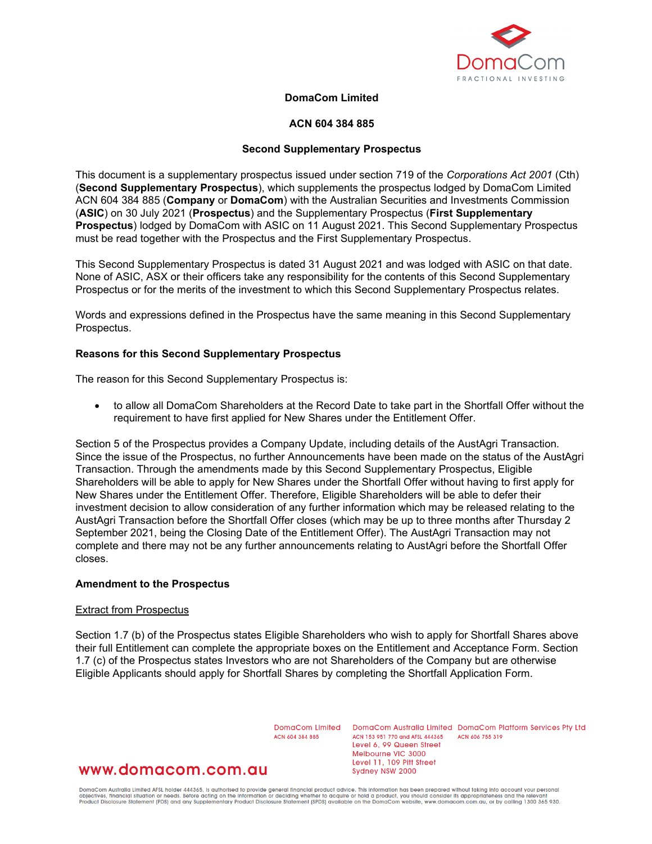

# **DomaCom Limited**

## **ACN 604 384 885**

## **Second Supplementary Prospectus**

This document is a supplementary prospectus issued under section 719 of the *Corporations Act 2001* (Cth) (**Second Supplementary Prospectus**), which supplements the prospectus lodged by DomaCom Limited ACN 604 384 885 (**Company** or **DomaCom**) with the Australian Securities and Investments Commission (**ASIC**) on 30 July 2021 (**Prospectus**) and the Supplementary Prospectus (**First Supplementary Prospectus**) lodged by DomaCom with ASIC on 11 August 2021. This Second Supplementary Prospectus must be read together with the Prospectus and the First Supplementary Prospectus.

This Second Supplementary Prospectus is dated 31 August 2021 and was lodged with ASIC on that date. None of ASIC, ASX or their officers take any responsibility for the contents of this Second Supplementary Prospectus or for the merits of the investment to which this Second Supplementary Prospectus relates.

Words and expressions defined in the Prospectus have the same meaning in this Second Supplementary Prospectus.

#### **Reasons for this Second Supplementary Prospectus**

The reason for this Second Supplementary Prospectus is:

• to allow all DomaCom Shareholders at the Record Date to take part in the Shortfall Offer without the requirement to have first applied for New Shares under the Entitlement Offer.

Section 5 of the Prospectus provides a Company Update, including details of the AustAgri Transaction. Since the issue of the Prospectus, no further Announcements have been made on the status of the AustAgri Transaction. Through the amendments made by this Second Supplementary Prospectus, Eligible Shareholders will be able to apply for New Shares under the Shortfall Offer without having to first apply for New Shares under the Entitlement Offer. Therefore, Eligible Shareholders will be able to defer their investment decision to allow consideration of any further information which may be released relating to the AustAgri Transaction before the Shortfall Offer closes (which may be up to three months after Thursday 2 September 2021, being the Closing Date of the Entitlement Offer). The AustAgri Transaction may not complete and there may not be any further announcements relating to AustAgri before the Shortfall Offer closes.

#### **Amendment to the Prospectus**

#### Extract from Prospectus

Section 1.7 (b) of the Prospectus states Eligible Shareholders who wish to apply for Shortfall Shares above their full Entitlement can complete the appropriate boxes on the Entitlement and Acceptance Form. Section 1.7 (c) of the Prospectus states Investors who are not Shareholders of the Company but are otherwise Eligible Applicants should apply for Shortfall Shares by completing the Shortfall Application Form.

ACN 604 384 885

DomgCom Limited DomgCom Australia Limited DomgCom Platform Services Pty Ltd ACN 153 951 770 and AFSL 444365 **ACN 606 755 310** Level 6, 99 Queen Street Melbourne VIC 3000 Level 11, 109 Pitt Street Sydney NSW 2000

# www.domacom.com.au

DomaCom Australia Limited AFSL holder 444365, is authorised to provide general financial product advice. This information has been prepared without taking into account your personal<br>objectives, financial situation or needs